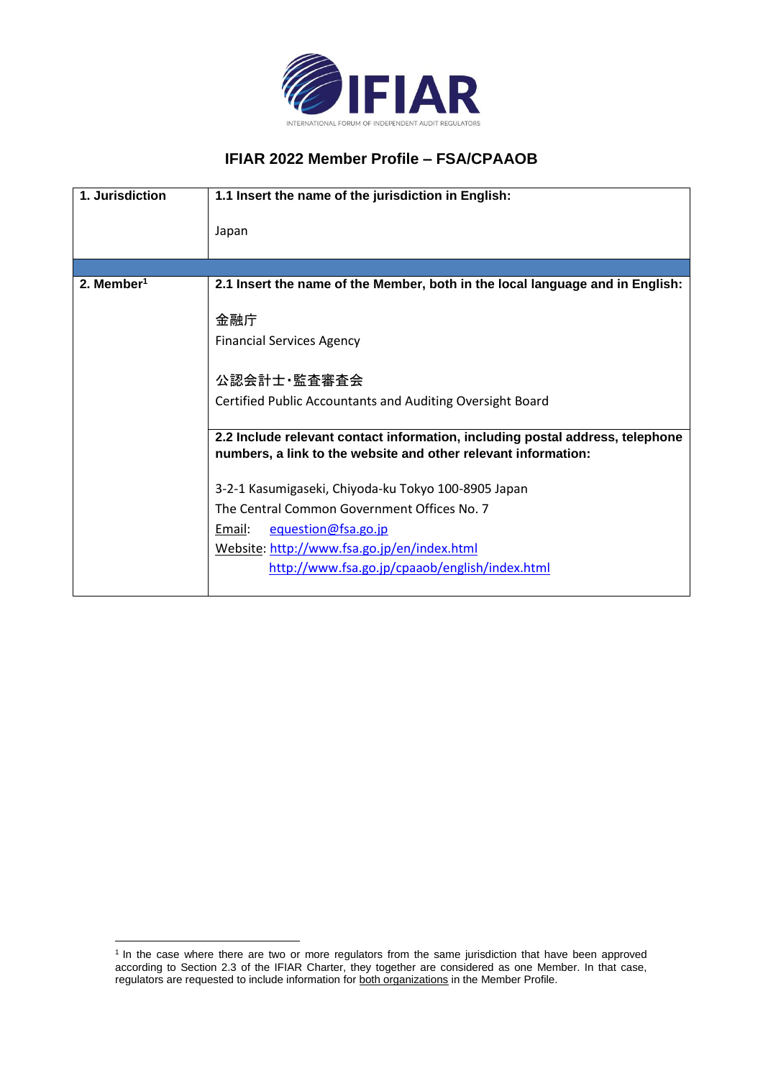

## **IFIAR 2022 Member Profile – FSA/CPAAOB**

| 1. Jurisdiction        | 1.1 Insert the name of the jurisdiction in English:                                                                                             |  |  |
|------------------------|-------------------------------------------------------------------------------------------------------------------------------------------------|--|--|
|                        | Japan                                                                                                                                           |  |  |
|                        |                                                                                                                                                 |  |  |
| 2. Member <sup>1</sup> | 2.1 Insert the name of the Member, both in the local language and in English:                                                                   |  |  |
|                        | 金融庁                                                                                                                                             |  |  |
|                        | <b>Financial Services Agency</b>                                                                                                                |  |  |
|                        | 公認会計士·監査審査会                                                                                                                                     |  |  |
|                        | Certified Public Accountants and Auditing Oversight Board                                                                                       |  |  |
|                        | 2.2 Include relevant contact information, including postal address, telephone<br>numbers, a link to the website and other relevant information: |  |  |
|                        | 3-2-1 Kasumigaseki, Chiyoda-ku Tokyo 100-8905 Japan                                                                                             |  |  |
|                        | The Central Common Government Offices No. 7                                                                                                     |  |  |
|                        | equestion@fsa.go.jp<br>Email:                                                                                                                   |  |  |
|                        | Website: http://www.fsa.go.jp/en/index.html                                                                                                     |  |  |
|                        | http://www.fsa.go.jp/cpaaob/english/index.html                                                                                                  |  |  |

<sup>&</sup>lt;sup>1</sup> In the case where there are two or more regulators from the same jurisdiction that have been approved according to Section 2.3 of the IFIAR Charter, they together are considered as one Member. In that case, regulators are requested to include information for both organizations in the Member Profile.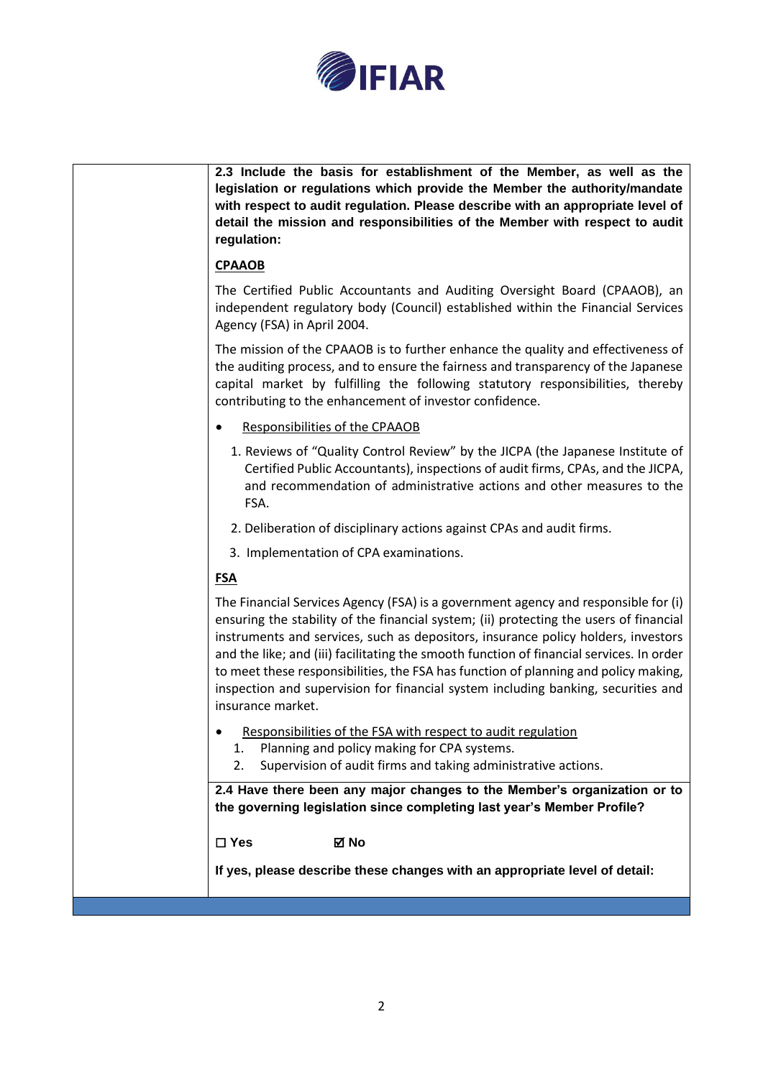

| 2.3 Include the basis for establishment of the Member, as well as the<br>legislation or regulations which provide the Member the authority/mandate<br>with respect to audit regulation. Please describe with an appropriate level of<br>detail the mission and responsibilities of the Member with respect to audit<br>regulation:                                                                                                                                                                                                                             |
|----------------------------------------------------------------------------------------------------------------------------------------------------------------------------------------------------------------------------------------------------------------------------------------------------------------------------------------------------------------------------------------------------------------------------------------------------------------------------------------------------------------------------------------------------------------|
| <b>CPAAOB</b>                                                                                                                                                                                                                                                                                                                                                                                                                                                                                                                                                  |
| The Certified Public Accountants and Auditing Oversight Board (CPAAOB), an<br>independent regulatory body (Council) established within the Financial Services<br>Agency (FSA) in April 2004.                                                                                                                                                                                                                                                                                                                                                                   |
| The mission of the CPAAOB is to further enhance the quality and effectiveness of<br>the auditing process, and to ensure the fairness and transparency of the Japanese<br>capital market by fulfilling the following statutory responsibilities, thereby<br>contributing to the enhancement of investor confidence.                                                                                                                                                                                                                                             |
| Responsibilities of the CPAAOB                                                                                                                                                                                                                                                                                                                                                                                                                                                                                                                                 |
| 1. Reviews of "Quality Control Review" by the JICPA (the Japanese Institute of<br>Certified Public Accountants), inspections of audit firms, CPAs, and the JICPA,<br>and recommendation of administrative actions and other measures to the<br>FSA.                                                                                                                                                                                                                                                                                                            |
| 2. Deliberation of disciplinary actions against CPAs and audit firms.                                                                                                                                                                                                                                                                                                                                                                                                                                                                                          |
| 3. Implementation of CPA examinations.                                                                                                                                                                                                                                                                                                                                                                                                                                                                                                                         |
| <b>FSA</b>                                                                                                                                                                                                                                                                                                                                                                                                                                                                                                                                                     |
| The Financial Services Agency (FSA) is a government agency and responsible for (i)<br>ensuring the stability of the financial system; (ii) protecting the users of financial<br>instruments and services, such as depositors, insurance policy holders, investors<br>and the like; and (iii) facilitating the smooth function of financial services. In order<br>to meet these responsibilities, the FSA has function of planning and policy making,<br>inspection and supervision for financial system including banking, securities and<br>insurance market. |
| Responsibilities of the FSA with respect to audit regulation<br>Planning and policy making for CPA systems.<br>1.<br>Supervision of audit firms and taking administrative actions.<br>2.                                                                                                                                                                                                                                                                                                                                                                       |
| 2.4 Have there been any major changes to the Member's organization or to<br>the governing legislation since completing last year's Member Profile?                                                                                                                                                                                                                                                                                                                                                                                                             |
| $\square$ Yes<br>⊠ No                                                                                                                                                                                                                                                                                                                                                                                                                                                                                                                                          |
| If yes, please describe these changes with an appropriate level of detail:                                                                                                                                                                                                                                                                                                                                                                                                                                                                                     |
|                                                                                                                                                                                                                                                                                                                                                                                                                                                                                                                                                                |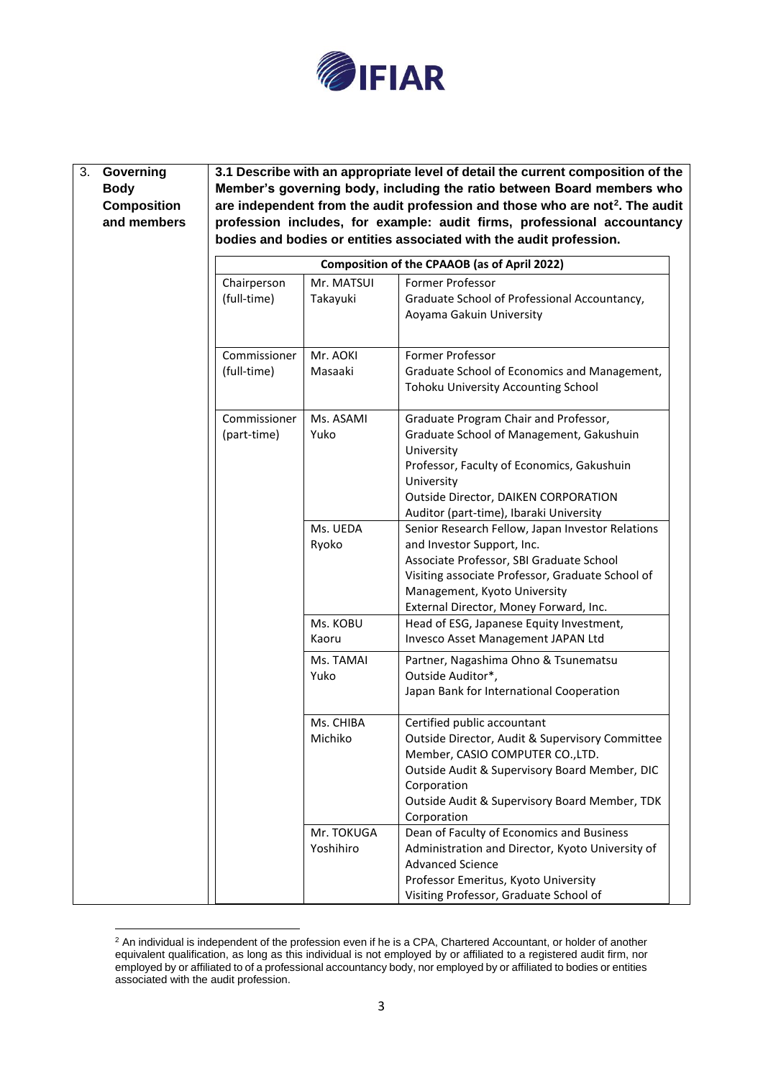

| 3. | Governing          |                                                                                          |                         | 3.1 Describe with an appropriate level of detail the current composition of the                                                                                                                                                     |  |
|----|--------------------|------------------------------------------------------------------------------------------|-------------------------|-------------------------------------------------------------------------------------------------------------------------------------------------------------------------------------------------------------------------------------|--|
|    | <b>Body</b>        | Member's governing body, including the ratio between Board members who                   |                         |                                                                                                                                                                                                                                     |  |
|    | <b>Composition</b> | are independent from the audit profession and those who are not <sup>2</sup> . The audit |                         |                                                                                                                                                                                                                                     |  |
|    | and members        |                                                                                          |                         | profession includes, for example: audit firms, professional accountancy                                                                                                                                                             |  |
|    |                    |                                                                                          |                         | bodies and bodies or entities associated with the audit profession.                                                                                                                                                                 |  |
|    |                    | Composition of the CPAAOB (as of April 2022)                                             |                         |                                                                                                                                                                                                                                     |  |
|    |                    | Chairperson                                                                              | Mr. MATSUI              | Former Professor                                                                                                                                                                                                                    |  |
|    |                    | (full-time)                                                                              | Takayuki                | Graduate School of Professional Accountancy,<br>Aoyama Gakuin University                                                                                                                                                            |  |
|    |                    | Commissioner                                                                             | Mr. AOKI                | Former Professor                                                                                                                                                                                                                    |  |
|    |                    | (full-time)                                                                              | Masaaki                 | Graduate School of Economics and Management,<br>Tohoku University Accounting School                                                                                                                                                 |  |
|    |                    | Commissioner<br>(part-time)                                                              | Ms. ASAMI<br>Yuko       | Graduate Program Chair and Professor,<br>Graduate School of Management, Gakushuin<br>University<br>Professor, Faculty of Economics, Gakushuin                                                                                       |  |
|    |                    |                                                                                          |                         | University<br><b>Outside Director, DAIKEN CORPORATION</b><br>Auditor (part-time), Ibaraki University                                                                                                                                |  |
|    |                    |                                                                                          | Ms. UEDA<br>Ryoko       | Senior Research Fellow, Japan Investor Relations<br>and Investor Support, Inc.                                                                                                                                                      |  |
|    |                    |                                                                                          |                         | Associate Professor, SBI Graduate School<br>Visiting associate Professor, Graduate School of<br>Management, Kyoto University<br>External Director, Money Forward, Inc.                                                              |  |
|    |                    |                                                                                          | Ms. KOBU<br>Kaoru       | Head of ESG, Japanese Equity Investment,<br>Invesco Asset Management JAPAN Ltd                                                                                                                                                      |  |
|    |                    |                                                                                          | Ms. TAMAI<br>Yuko       | Partner, Nagashima Ohno & Tsunematsu<br>Outside Auditor*,<br>Japan Bank for International Cooperation                                                                                                                               |  |
|    |                    |                                                                                          | Ms. CHIBA<br>Michiko    | Certified public accountant<br>Outside Director, Audit & Supervisory Committee<br>Member, CASIO COMPUTER CO., LTD.<br>Outside Audit & Supervisory Board Member, DIC<br>Corporation<br>Outside Audit & Supervisory Board Member, TDK |  |
|    |                    |                                                                                          | Mr. TOKUGA<br>Yoshihiro | Corporation<br>Dean of Faculty of Economics and Business<br>Administration and Director, Kyoto University of<br><b>Advanced Science</b>                                                                                             |  |
|    |                    |                                                                                          |                         | Professor Emeritus, Kyoto University<br>Visiting Professor, Graduate School of                                                                                                                                                      |  |

 $2$  An individual is independent of the profession even if he is a CPA, Chartered Accountant, or holder of another equivalent qualification, as long as this individual is not employed by or affiliated to a registered audit firm, nor employed by or affiliated to of a professional accountancy body, nor employed by or affiliated to bodies or entities associated with the audit profession.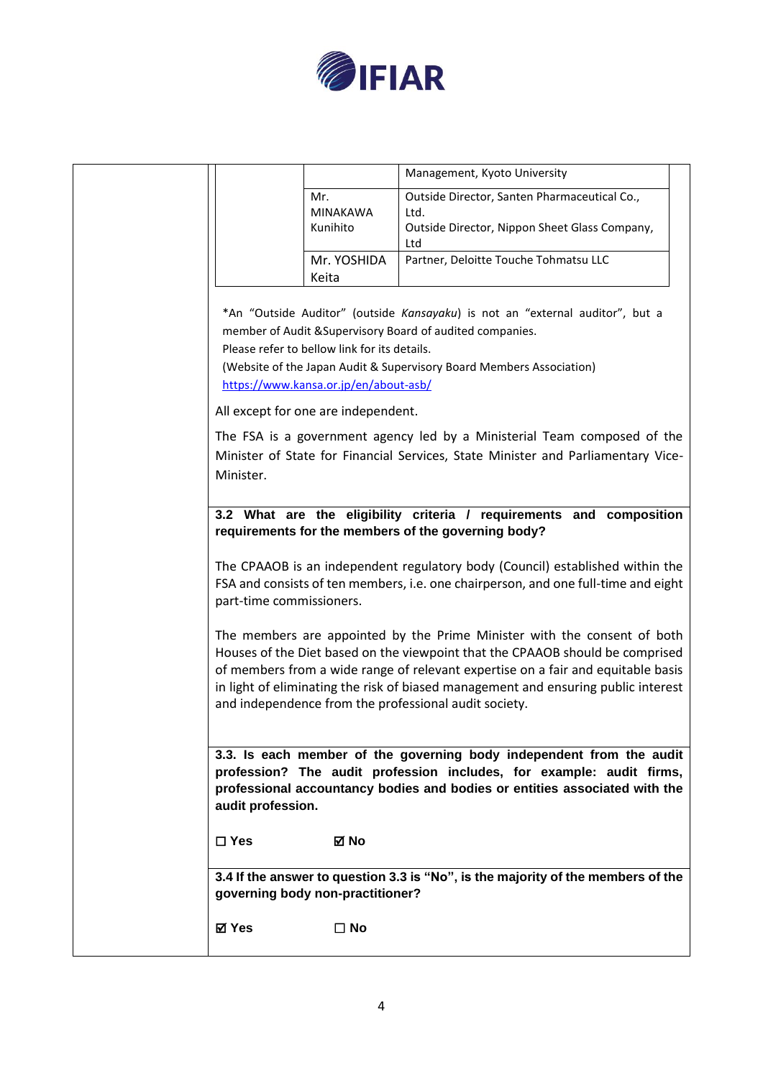

|                          |                                                                                       | Management, Kyoto University                                                                                                                                                                                                                                                                                                                                                                 |
|--------------------------|---------------------------------------------------------------------------------------|----------------------------------------------------------------------------------------------------------------------------------------------------------------------------------------------------------------------------------------------------------------------------------------------------------------------------------------------------------------------------------------------|
|                          | Mr.<br><b>MINAKAWA</b><br>Kunihito                                                    | Outside Director, Santen Pharmaceutical Co.,<br>Ltd.<br>Outside Director, Nippon Sheet Glass Company,                                                                                                                                                                                                                                                                                        |
|                          | Mr. YOSHIDA<br>Keita                                                                  | Ltd<br>Partner, Deloitte Touche Tohmatsu LLC                                                                                                                                                                                                                                                                                                                                                 |
|                          | Please refer to bellow link for its details.<br>https://www.kansa.or.jp/en/about-asb/ | *An "Outside Auditor" (outside Kansayaku) is not an "external auditor", but a<br>member of Audit & Supervisory Board of audited companies.<br>(Website of the Japan Audit & Supervisory Board Members Association)                                                                                                                                                                           |
|                          | All except for one are independent.                                                   |                                                                                                                                                                                                                                                                                                                                                                                              |
| Minister.                |                                                                                       | The FSA is a government agency led by a Ministerial Team composed of the<br>Minister of State for Financial Services, State Minister and Parliamentary Vice-                                                                                                                                                                                                                                 |
|                          |                                                                                       | 3.2 What are the eligibility criteria / requirements and composition<br>requirements for the members of the governing body?                                                                                                                                                                                                                                                                  |
| part-time commissioners. |                                                                                       | The CPAAOB is an independent regulatory body (Council) established within the<br>FSA and consists of ten members, i.e. one chairperson, and one full-time and eight                                                                                                                                                                                                                          |
|                          |                                                                                       | The members are appointed by the Prime Minister with the consent of both<br>Houses of the Diet based on the viewpoint that the CPAAOB should be comprised<br>of members from a wide range of relevant expertise on a fair and equitable basis<br>in light of eliminating the risk of biased management and ensuring public interest<br>and independence from the professional audit society. |
| audit profession.        |                                                                                       | 3.3. Is each member of the governing body independent from the audit<br>profession? The audit profession includes, for example: audit firms,<br>professional accountancy bodies and bodies or entities associated with the                                                                                                                                                                   |
| $\square$ Yes            | ⊠ No                                                                                  |                                                                                                                                                                                                                                                                                                                                                                                              |
|                          | governing body non-practitioner?                                                      | 3.4 If the answer to question 3.3 is "No", is the majority of the members of the                                                                                                                                                                                                                                                                                                             |
| ⊠ Yes                    | $\square$ No                                                                          |                                                                                                                                                                                                                                                                                                                                                                                              |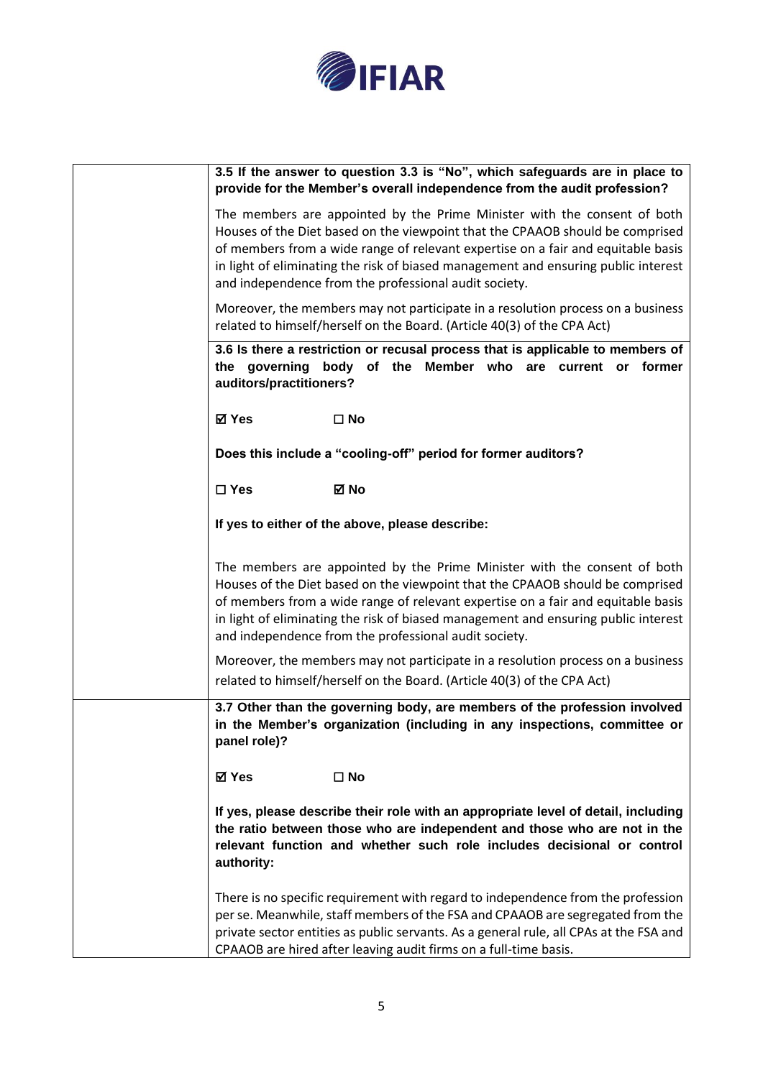

| 3.5 If the answer to question 3.3 is "No", which safeguards are in place to<br>provide for the Member's overall independence from the audit profession?                                                                                                                                                                                                                                      |
|----------------------------------------------------------------------------------------------------------------------------------------------------------------------------------------------------------------------------------------------------------------------------------------------------------------------------------------------------------------------------------------------|
| The members are appointed by the Prime Minister with the consent of both<br>Houses of the Diet based on the viewpoint that the CPAAOB should be comprised<br>of members from a wide range of relevant expertise on a fair and equitable basis<br>in light of eliminating the risk of biased management and ensuring public interest<br>and independence from the professional audit society. |
| Moreover, the members may not participate in a resolution process on a business<br>related to himself/herself on the Board. (Article 40(3) of the CPA Act)                                                                                                                                                                                                                                   |
| 3.6 Is there a restriction or recusal process that is applicable to members of<br>the governing body of the Member who are current or former<br>auditors/practitioners?                                                                                                                                                                                                                      |
| ⊠ Yes<br>$\square$ No                                                                                                                                                                                                                                                                                                                                                                        |
| Does this include a "cooling-off" period for former auditors?                                                                                                                                                                                                                                                                                                                                |
| ⊠ No<br>$\square$ Yes                                                                                                                                                                                                                                                                                                                                                                        |
| If yes to either of the above, please describe:                                                                                                                                                                                                                                                                                                                                              |
| The members are appointed by the Prime Minister with the consent of both<br>Houses of the Diet based on the viewpoint that the CPAAOB should be comprised<br>of members from a wide range of relevant expertise on a fair and equitable basis<br>in light of eliminating the risk of biased management and ensuring public interest<br>and independence from the professional audit society. |
| Moreover, the members may not participate in a resolution process on a business<br>related to himself/herself on the Board. (Article 40(3) of the CPA Act)                                                                                                                                                                                                                                   |
| 3.7 Other than the governing body, are members of the profession involved<br>in the Member's organization (including in any inspections, committee or<br>panel role)?                                                                                                                                                                                                                        |
| ⊠ Yes<br>$\square$ No                                                                                                                                                                                                                                                                                                                                                                        |
| If yes, please describe their role with an appropriate level of detail, including<br>the ratio between those who are independent and those who are not in the<br>relevant function and whether such role includes decisional or control<br>authority:                                                                                                                                        |
| There is no specific requirement with regard to independence from the profession<br>per se. Meanwhile, staff members of the FSA and CPAAOB are segregated from the<br>private sector entities as public servants. As a general rule, all CPAs at the FSA and<br>CPAAOB are hired after leaving audit firms on a full-time basis.                                                             |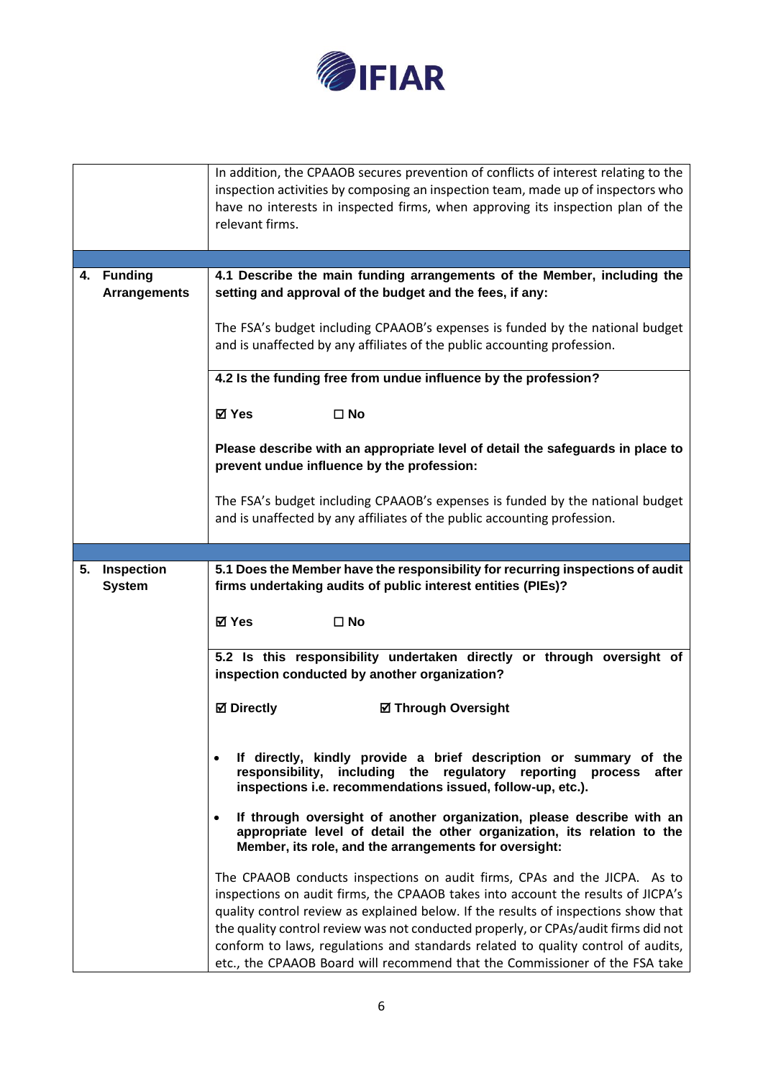

|    |                                       | In addition, the CPAAOB secures prevention of conflicts of interest relating to the<br>inspection activities by composing an inspection team, made up of inspectors who<br>have no interests in inspected firms, when approving its inspection plan of the<br>relevant firms.                                                                                                                                                                                                                                |
|----|---------------------------------------|--------------------------------------------------------------------------------------------------------------------------------------------------------------------------------------------------------------------------------------------------------------------------------------------------------------------------------------------------------------------------------------------------------------------------------------------------------------------------------------------------------------|
|    |                                       |                                                                                                                                                                                                                                                                                                                                                                                                                                                                                                              |
| 4. | <b>Funding</b><br><b>Arrangements</b> | 4.1 Describe the main funding arrangements of the Member, including the<br>setting and approval of the budget and the fees, if any:<br>The FSA's budget including CPAAOB's expenses is funded by the national budget<br>and is unaffected by any affiliates of the public accounting profession.                                                                                                                                                                                                             |
|    |                                       | 4.2 Is the funding free from undue influence by the profession?                                                                                                                                                                                                                                                                                                                                                                                                                                              |
|    |                                       | $\square$ No<br>⊠ Yes                                                                                                                                                                                                                                                                                                                                                                                                                                                                                        |
|    |                                       | Please describe with an appropriate level of detail the safeguards in place to<br>prevent undue influence by the profession:                                                                                                                                                                                                                                                                                                                                                                                 |
|    |                                       | The FSA's budget including CPAAOB's expenses is funded by the national budget<br>and is unaffected by any affiliates of the public accounting profession.                                                                                                                                                                                                                                                                                                                                                    |
|    |                                       |                                                                                                                                                                                                                                                                                                                                                                                                                                                                                                              |
| 5. | Inspection<br><b>System</b>           | 5.1 Does the Member have the responsibility for recurring inspections of audit<br>firms undertaking audits of public interest entities (PIEs)?                                                                                                                                                                                                                                                                                                                                                               |
|    |                                       | $\square$ No<br>⊠ Yes                                                                                                                                                                                                                                                                                                                                                                                                                                                                                        |
|    |                                       | 5.2 Is this responsibility undertaken directly or through oversight of<br>inspection conducted by another organization?                                                                                                                                                                                                                                                                                                                                                                                      |
|    |                                       | <b>☑</b> Directly<br><b>Ø Through Oversight</b>                                                                                                                                                                                                                                                                                                                                                                                                                                                              |
|    |                                       | If directly, kindly provide a brief description or summary of the<br>$\bullet$<br>responsibility, including the regulatory reporting process after<br>inspections i.e. recommendations issued, follow-up, etc.).                                                                                                                                                                                                                                                                                             |
|    |                                       | If through oversight of another organization, please describe with an<br>٠<br>appropriate level of detail the other organization, its relation to the<br>Member, its role, and the arrangements for oversight:                                                                                                                                                                                                                                                                                               |
|    |                                       | The CPAAOB conducts inspections on audit firms, CPAs and the JICPA. As to<br>inspections on audit firms, the CPAAOB takes into account the results of JICPA's<br>quality control review as explained below. If the results of inspections show that<br>the quality control review was not conducted properly, or CPAs/audit firms did not<br>conform to laws, regulations and standards related to quality control of audits,<br>etc., the CPAAOB Board will recommend that the Commissioner of the FSA take |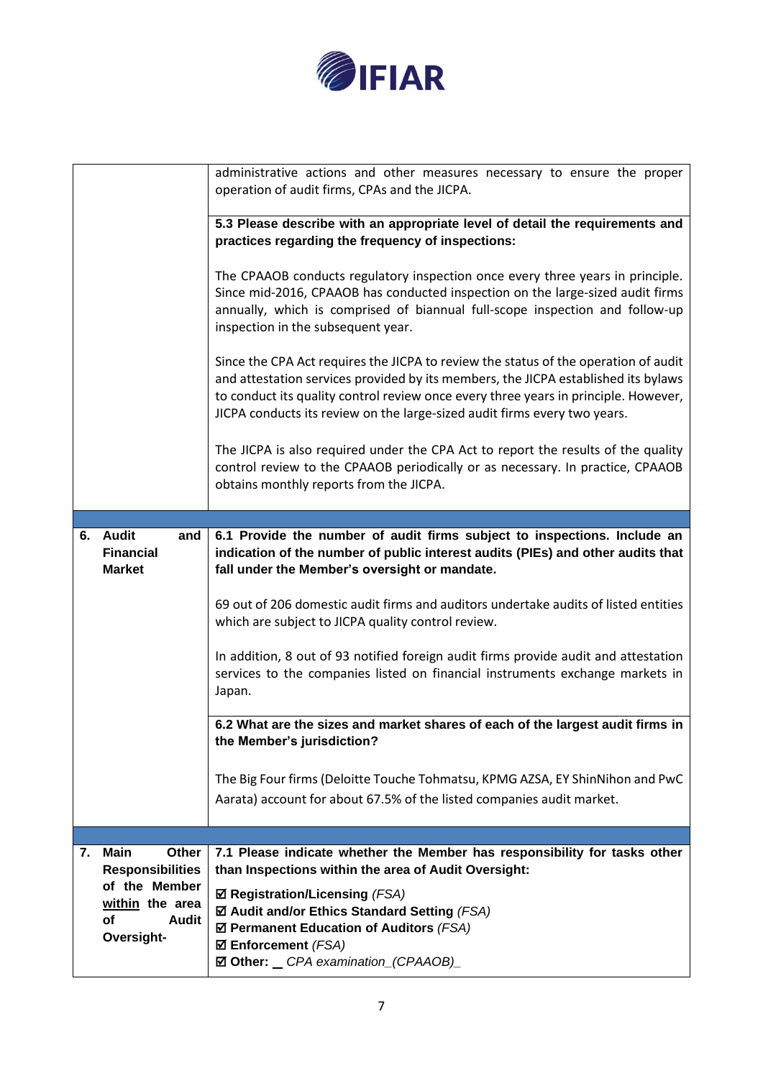

|                 |                                                        | administrative actions and other measures necessary to ensure the proper<br>operation of audit firms, CPAs and the JICPA.                                                                                                                                                                                                                     |
|-----------------|--------------------------------------------------------|-----------------------------------------------------------------------------------------------------------------------------------------------------------------------------------------------------------------------------------------------------------------------------------------------------------------------------------------------|
|                 |                                                        | 5.3 Please describe with an appropriate level of detail the requirements and<br>practices regarding the frequency of inspections:                                                                                                                                                                                                             |
|                 |                                                        | The CPAAOB conducts regulatory inspection once every three years in principle.<br>Since mid-2016, CPAAOB has conducted inspection on the large-sized audit firms<br>annually, which is comprised of biannual full-scope inspection and follow-up<br>inspection in the subsequent year.                                                        |
|                 |                                                        | Since the CPA Act requires the JICPA to review the status of the operation of audit<br>and attestation services provided by its members, the JICPA established its bylaws<br>to conduct its quality control review once every three years in principle. However,<br>JICPA conducts its review on the large-sized audit firms every two years. |
|                 |                                                        | The JICPA is also required under the CPA Act to report the results of the quality<br>control review to the CPAAOB periodically or as necessary. In practice, CPAAOB<br>obtains monthly reports from the JICPA.                                                                                                                                |
|                 |                                                        |                                                                                                                                                                                                                                                                                                                                               |
|                 | 6. Audit<br>and                                        | 6.1 Provide the number of audit firms subject to inspections. Include an                                                                                                                                                                                                                                                                      |
|                 | <b>Financial</b><br><b>Market</b>                      | indication of the number of public interest audits (PIEs) and other audits that<br>fall under the Member's oversight or mandate.                                                                                                                                                                                                              |
|                 |                                                        | 69 out of 206 domestic audit firms and auditors undertake audits of listed entities<br>which are subject to JICPA quality control review.                                                                                                                                                                                                     |
|                 |                                                        | In addition, 8 out of 93 notified foreign audit firms provide audit and attestation<br>services to the companies listed on financial instruments exchange markets in<br>Japan.                                                                                                                                                                |
|                 |                                                        | 6.2 What are the sizes and market shares of each of the largest audit firms in<br>the Member's jurisdiction?                                                                                                                                                                                                                                  |
|                 |                                                        | The Big Four firms (Deloitte Touche Tohmatsu, KPMG AZSA, EY ShinNihon and PwC<br>Aarata) account for about 67.5% of the listed companies audit market.                                                                                                                                                                                        |
|                 |                                                        |                                                                                                                                                                                                                                                                                                                                               |
| 7.              | <b>Main</b><br><b>Other</b><br><b>Responsibilities</b> | 7.1 Please indicate whether the Member has responsibility for tasks other<br>than Inspections within the area of Audit Oversight:                                                                                                                                                                                                             |
|                 | of the Member                                          | $\boxtimes$ Registration/Licensing (FSA)                                                                                                                                                                                                                                                                                                      |
| within the area |                                                        |                                                                                                                                                                                                                                                                                                                                               |
|                 |                                                        | ☑ Audit and/or Ethics Standard Setting (FSA)                                                                                                                                                                                                                                                                                                  |
|                 | of<br>Audit                                            | $\boxtimes$ Permanent Education of Auditors (FSA)                                                                                                                                                                                                                                                                                             |
|                 | Oversight-                                             | $\boxtimes$ Enforcement (FSA)<br>☑ Other: _ CPA examination_(CPAAOB)_                                                                                                                                                                                                                                                                         |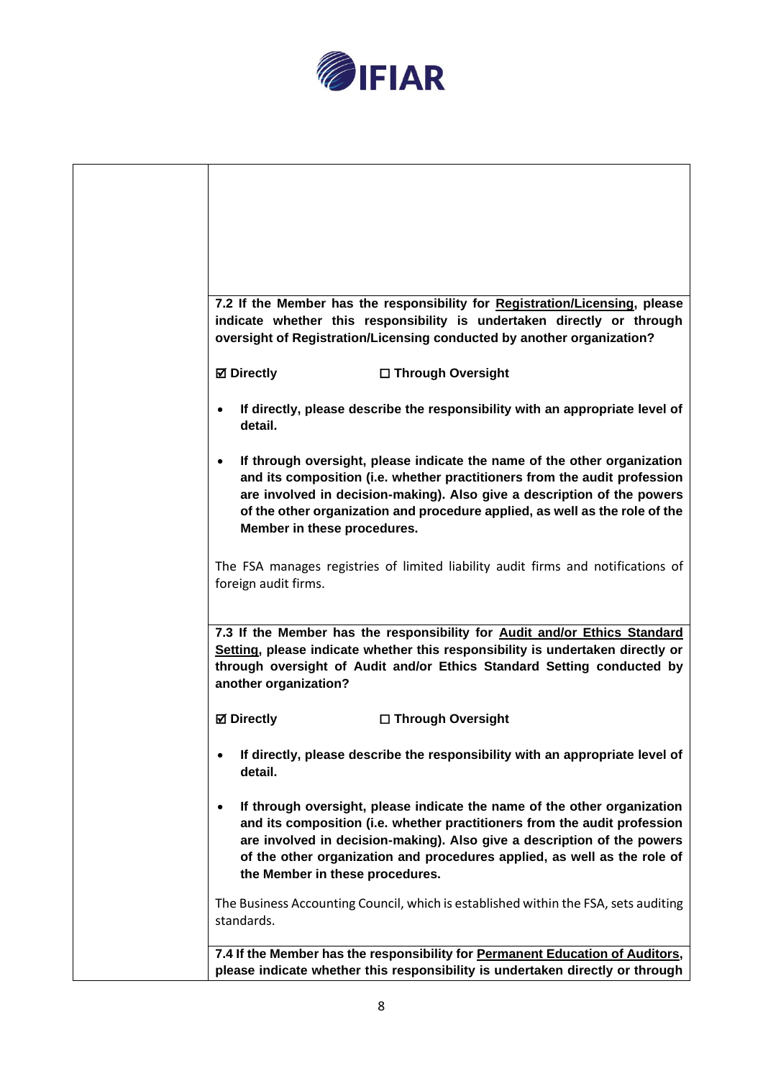

|                                          | 7.2 If the Member has the responsibility for Registration/Licensing, please<br>indicate whether this responsibility is undertaken directly or through<br>oversight of Registration/Licensing conducted by another organization?                                                                                 |
|------------------------------------------|-----------------------------------------------------------------------------------------------------------------------------------------------------------------------------------------------------------------------------------------------------------------------------------------------------------------|
| <b>☑ Directly</b>                        | □ Through Oversight                                                                                                                                                                                                                                                                                             |
| detail.                                  | If directly, please describe the responsibility with an appropriate level of                                                                                                                                                                                                                                    |
| $\bullet$<br>Member in these procedures. | If through oversight, please indicate the name of the other organization<br>and its composition (i.e. whether practitioners from the audit profession<br>are involved in decision-making). Also give a description of the powers<br>of the other organization and procedure applied, as well as the role of the |
| foreign audit firms.                     | The FSA manages registries of limited liability audit firms and notifications of                                                                                                                                                                                                                                |
| another organization?                    | 7.3 If the Member has the responsibility for Audit and/or Ethics Standard<br>Setting, please indicate whether this responsibility is undertaken directly or<br>through oversight of Audit and/or Ethics Standard Setting conducted by                                                                           |
| <b>⊠</b> Directly                        | □ Through Oversight                                                                                                                                                                                                                                                                                             |
| detail.                                  | If directly, please describe the responsibility with an appropriate level of                                                                                                                                                                                                                                    |
| ٠<br>the Member in these procedures.     | If through oversight, please indicate the name of the other organization<br>and its composition (i.e. whether practitioners from the audit profession<br>are involved in decision-making). Also give a description of the powers<br>of the other organization and procedures applied, as well as the role of    |
| standards.                               | The Business Accounting Council, which is established within the FSA, sets auditing                                                                                                                                                                                                                             |
|                                          | 7.4 If the Member has the responsibility for Permanent Education of Auditors,                                                                                                                                                                                                                                   |
|                                          | please indicate whether this responsibility is undertaken directly or through                                                                                                                                                                                                                                   |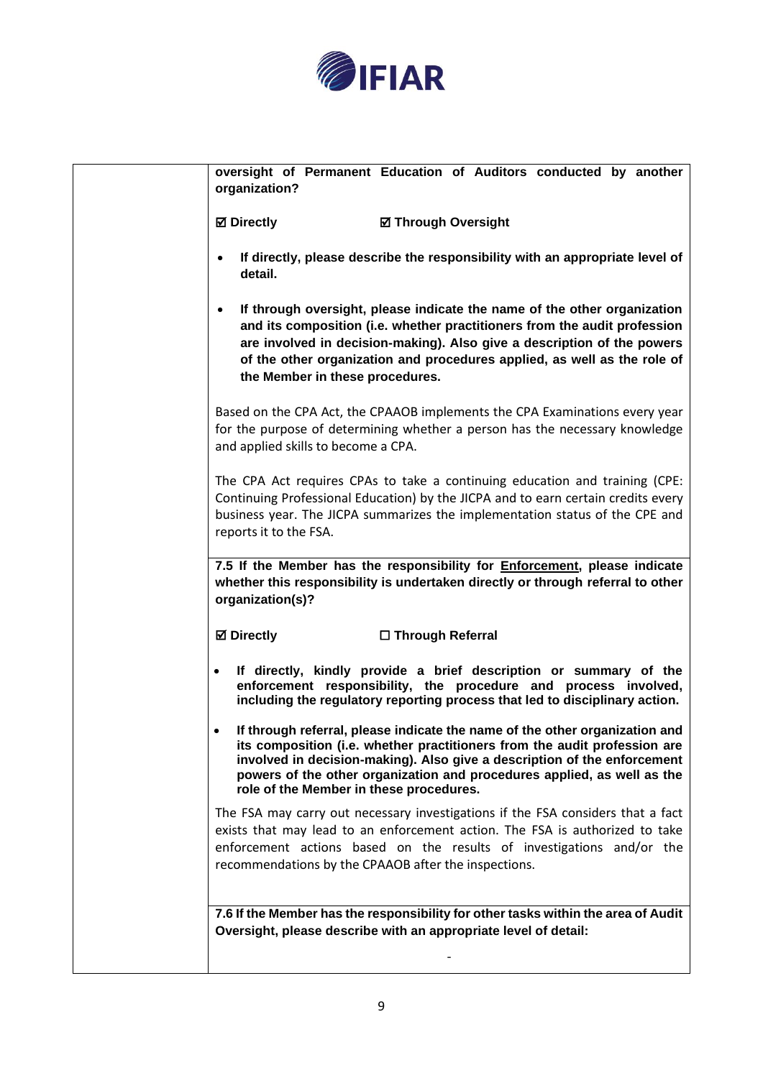

| oversight of Permanent Education of Auditors conducted by another<br>organization?                                                                                                                                                                                                                                                                         |
|------------------------------------------------------------------------------------------------------------------------------------------------------------------------------------------------------------------------------------------------------------------------------------------------------------------------------------------------------------|
| <b>Ø</b> Directly<br><b>Ø Through Oversight</b>                                                                                                                                                                                                                                                                                                            |
| If directly, please describe the responsibility with an appropriate level of<br>detail.                                                                                                                                                                                                                                                                    |
| If through oversight, please indicate the name of the other organization<br>and its composition (i.e. whether practitioners from the audit profession<br>are involved in decision-making). Also give a description of the powers<br>of the other organization and procedures applied, as well as the role of<br>the Member in these procedures.            |
| Based on the CPA Act, the CPAAOB implements the CPA Examinations every year<br>for the purpose of determining whether a person has the necessary knowledge<br>and applied skills to become a CPA.                                                                                                                                                          |
| The CPA Act requires CPAs to take a continuing education and training (CPE:<br>Continuing Professional Education) by the JICPA and to earn certain credits every<br>business year. The JICPA summarizes the implementation status of the CPE and<br>reports it to the FSA.                                                                                 |
| 7.5 If the Member has the responsibility for <b>Enforcement</b> , please indicate<br>whether this responsibility is undertaken directly or through referral to other<br>organization(s)?                                                                                                                                                                   |
| <b>⊠</b> Directly<br>□ Through Referral                                                                                                                                                                                                                                                                                                                    |
| If directly, kindly provide a brief description or summary of the<br>$\bullet$<br>enforcement responsibility, the procedure and process involved,<br>including the regulatory reporting process that led to disciplinary action.                                                                                                                           |
| If through referral, please indicate the name of the other organization and<br>its composition (i.e. whether practitioners from the audit profession are<br>involved in decision-making). Also give a description of the enforcement<br>powers of the other organization and procedures applied, as well as the<br>role of the Member in these procedures. |
| The FSA may carry out necessary investigations if the FSA considers that a fact<br>exists that may lead to an enforcement action. The FSA is authorized to take<br>enforcement actions based on the results of investigations and/or the<br>recommendations by the CPAAOB after the inspections.                                                           |
| 7.6 If the Member has the responsibility for other tasks within the area of Audit<br>Oversight, please describe with an appropriate level of detail:                                                                                                                                                                                                       |